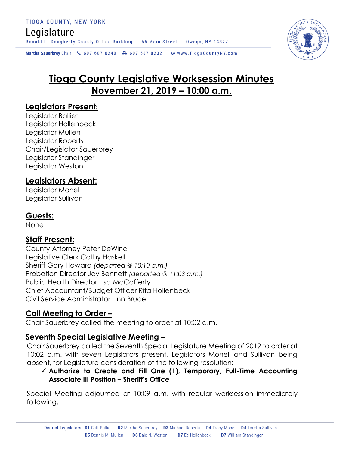## Legislature

Ronald E. Dougherty County Office Building 56 Main Street Owego, NY 13827

Martha Sauerbrey Chair & 607 687 8240 <a>B</a>607 687 8232 <a>B</a>Www.TiogaCountyNY.com

# **Tioga County Legislative Worksession Minutes November 21, 2019 – 10:00 a.m.**

## **Legislators Present:**

Legislator Balliet Legislator Hollenbeck Legislator Mullen Legislator Roberts Chair/Legislator Sauerbrey Legislator Standinger Legislator Weston

## **Legislators Absent:**

Legislator Monell Legislator Sullivan

## **Guests:**

None

## **Staff Present:**

County Attorney Peter DeWind Legislative Clerk Cathy Haskell Sheriff Gary Howard *(departed @ 10:10 a.m.)* Probation Director Joy Bennett *(departed @ 11:03 a.m.)* Public Health Director Lisa McCafferty Chief Accountant/Budget Officer Rita Hollenbeck Civil Service Administrator Linn Bruce

## **Call Meeting to Order –**

Chair Sauerbrey called the meeting to order at 10:02 a.m.

## **Seventh Special Legislative Meeting –**

Chair Sauerbrey called the Seventh Special Legislature Meeting of 2019 to order at 10:02 a.m. with seven Legislators present, Legislators Monell and Sullivan being absent, for Legislature consideration of the following resolution:

#### **Authorize to Create and Fill One (1), Temporary, Full-Time Accounting Associate III Position – Sheriff's Office**

Special Meeting adjourned at 10:09 a.m. with regular worksession immediately following.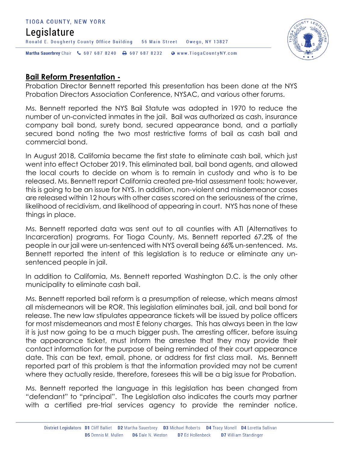#### TIOGA COUNTY, NEW YORK Legislature Ronald E. Dougherty County Office Building 56 Main Street Owego, NY 13827 Martha Sauerbrey Chair & 607 687 8240 <a>B</a>607 687 8232 <a>B</a>Www.TiogaCountyNY.com



## **Bail Reform Presentation -**

Probation Director Bennett reported this presentation has been done at the NYS Probation Directors Association Conference, NYSAC, and various other forums.

Ms. Bennett reported the NYS Bail Statute was adopted in 1970 to reduce the number of un-convicted inmates in the jail. Bail was authorized as cash, insurance company bail bond, surety bond, secured appearance bond, and a partially secured bond noting the two most restrictive forms of bail as cash bail and commercial bond.

In August 2018, California became the first state to eliminate cash bail, which just went into effect October 2019. This eliminated bail, bail bond agents, and allowed the local courts to decide on whom is to remain in custody and who is to be released. Ms. Bennett report California created pre-trial assessment tools; however, this is going to be an issue for NYS. In addition, non-violent and misdemeanor cases are released within 12 hours with other cases scored on the seriousness of the crime, likelihood of recidivism, and likelihood of appearing in court. NYS has none of these things in place.

Ms. Bennett reported data was sent out to all counties with ATI (Alternatives to Incarceration) programs. For Tioga County, Ms. Bennett reported 67.2% of the people in our jail were un-sentenced with NYS overall being 66% un-sentenced. Ms. Bennett reported the intent of this legislation is to reduce or eliminate any unsentenced people in jail.

In addition to California, Ms. Bennett reported Washington D.C. is the only other municipality to eliminate cash bail.

Ms. Bennett reported bail reform is a presumption of release, which means almost all misdemeanors will be ROR. This legislation eliminates bail, jail, and bail bond for release. The new law stipulates appearance tickets will be issued by police officers for most misdemeanors and most E felony charges. This has always been in the law it is just now going to be a much bigger push. The arresting officer, before issuing the appearance ticket, must inform the arrestee that they may provide their contact information for the purpose of being reminded of their court appearance date. This can be text, email, phone, or address for first class mail. Ms. Bennett reported part of this problem is that the information provided may not be current where they actually reside, therefore, foresees this will be a big issue for Probation.

Ms. Bennett reported the language in this legislation has been changed from "defendant" to "principal". The Legislation also indicates the courts may partner with a certified pre-trial services agency to provide the reminder notice.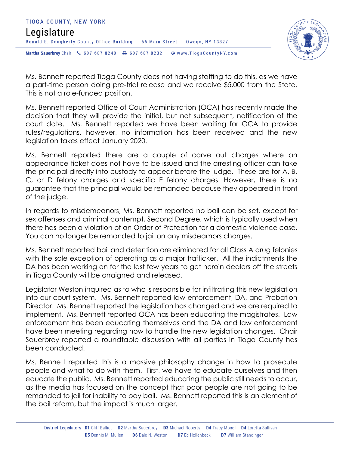



Ms. Bennett reported Tioga County does not having staffing to do this, as we have a part-time person doing pre-trial release and we receive \$5,000 from the State. This is not a role-funded position.

Ms. Bennett reported Office of Court Administration (OCA) has recently made the decision that they will provide the initial, but not subsequent, notification of the court date. Ms. Bennett reported we have been waiting for OCA to provide rules/regulations, however, no information has been received and the new legislation takes effect January 2020.

Ms. Bennett reported there are a couple of carve out charges where an appearance ticket does not have to be issued and the arresting officer can take the principal directly into custody to appear before the judge. These are for A, B, C, or D felony charges and specific E felony charges. However, there is no guarantee that the principal would be remanded because they appeared in front of the judge.

In regards to misdemeanors, Ms. Bennett reported no bail can be set, except for sex offenses and criminal contempt, Second Degree, which is typically used when there has been a violation of an Order of Protection for a domestic violence case. You can no longer be remanded to jail on any misdeamors charges.

Ms. Bennett reported bail and detention are eliminated for all Class A drug felonies with the sole exception of operating as a major trafficker. All the indictments the DA has been working on for the last few years to get heroin dealers off the streets in Tioga County will be arraigned and released.

Legislator Weston inquired as to who is responsible for infiltrating this new legislation into our court system. Ms. Bennett reported law enforcement, DA, and Probation Director. Ms. Bennett reported the legislation has changed and we are required to implement. Ms. Bennett reported OCA has been educating the magistrates. Law enforcement has been educating themselves and the DA and law enforcement have been meeting regarding how to handle the new legislation changes. Chair Sauerbrey reported a roundtable discussion with all parties in Tioga County has been conducted.

Ms. Bennett reported this is a massive philosophy change in how to prosecute people and what to do with them. First, we have to educate ourselves and then educate the public. Ms. Bennett reported educating the public still needs to occur, as the media has focused on the concept that poor people are not going to be remanded to jail for inability to pay bail. Ms. Bennett reported this is an element of the bail reform, but the impact is much larger.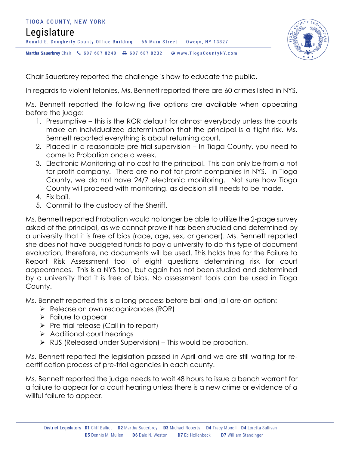



Chair Sauerbrey reported the challenge is how to educate the public.

In regards to violent felonies, Ms. Bennett reported there are 60 crimes listed in NYS.

Ms. Bennett reported the following five options are available when appearing before the judge:

- 1. Presumptive this is the ROR default for almost everybody unless the courts make an individualized determination that the principal is a flight risk. Ms. Bennett reported everything is about returning court.
- 2. Placed in a reasonable pre-trial supervision In Tioga County, you need to come to Probation once a week.
- 3. Electronic Monitoring at no cost to the principal. This can only be from a not for profit company. There are no not for profit companies in NYS. In Tioga County, we do not have 24/7 electronic monitoring. Not sure how Tioga County will proceed with monitoring, as decision still needs to be made.
- 4. Fix bail.
- 5. Commit to the custody of the Sheriff.

Ms. Bennett reported Probation would no longer be able to utilize the 2-page survey asked of the principal, as we cannot prove it has been studied and determined by a university that it is free of bias (race, age, sex, or gender). Ms. Bennett reported she does not have budgeted funds to pay a university to do this type of document evaluation, therefore, no documents will be used. This holds true for the Failure to Report Risk Assessment tool of eight questions determining risk for court appearances. This is a NYS tool, but again has not been studied and determined by a university that it is free of bias. No assessment tools can be used in Tioga County.

Ms. Bennett reported this is a long process before bail and jail are an option:

- $\triangleright$  Release on own recognizances (ROR)
- $\triangleright$  Failure to appear
- $\triangleright$  Pre-trial release (Call in to report)
- $\triangleright$  Additional court hearings
- $\triangleright$  RUS (Released under Supervision) This would be probation.

Ms. Bennett reported the legislation passed in April and we are still waiting for recertification process of pre-trial agencies in each county.

Ms. Bennett reported the judge needs to wait 48 hours to issue a bench warrant for a failure to appear for a court hearing unless there is a new crime or evidence of a willful failure to appear.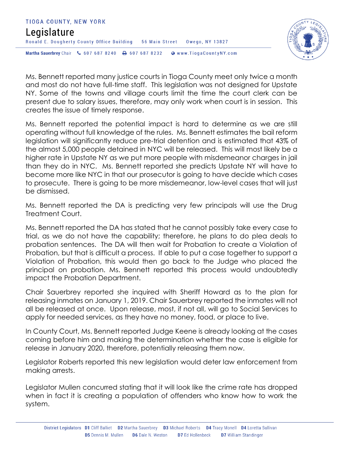



Ms. Bennett reported many justice courts in Tioga County meet only twice a month and most do not have full-time staff. This legislation was not designed for Upstate NY. Some of the towns and village courts limit the time the court clerk can be present due to salary issues, therefore, may only work when court is in session. This creates the issue of timely response.

Ms. Bennett reported the potential impact is hard to determine as we are still operating without full knowledge of the rules. Ms. Bennett estimates the bail reform legislation will significantly reduce pre-trial detention and is estimated that 43% of the almost 5,000 people detained in NYC will be released. This will most likely be a higher rate in Upstate NY as we put more people with misdemeanor charges in jail than they do in NYC. Ms. Bennett reported she predicts Upstate NY will have to become more like NYC in that our prosecutor is going to have decide which cases to prosecute. There is going to be more misdemeanor, low-level cases that will just be dismissed.

Ms. Bennett reported the DA is predicting very few principals will use the Drug Treatment Court.

Ms. Bennett reported the DA has stated that he cannot possibly take every case to trial, as we do not have the capability; therefore, he plans to do plea deals to probation sentences. The DA will then wait for Probation to create a Violation of Probation, but that is difficult a process. If able to put a case together to support a Violation of Probation, this would then go back to the Judge who placed the principal on probation. Ms. Bennett reported this process would undoubtedly impact the Probation Department.

Chair Sauerbrey reported she inquired with Sheriff Howard as to the plan for releasing inmates on January 1, 2019. Chair Sauerbrey reported the inmates will not all be released at once. Upon release, most, if not all, will go to Social Services to apply for needed services, as they have no money, food, or place to live.

In County Court, Ms. Bennett reported Judge Keene is already looking at the cases coming before him and making the determination whether the case is eligible for release in January 2020, therefore, potentially releasing them now.

Legislator Roberts reported this new legislation would deter law enforcement from making arrests.

Legislator Mullen concurred stating that it will look like the crime rate has dropped when in fact it is creating a population of offenders who know how to work the system.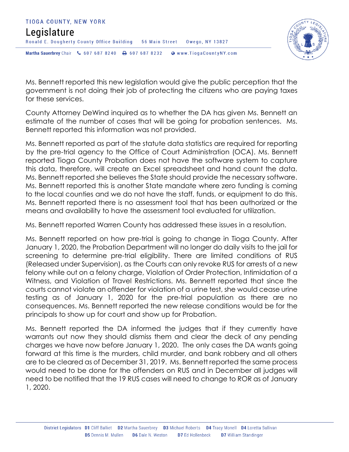



Ms. Bennett reported this new legislation would give the public perception that the government is not doing their job of protecting the citizens who are paying taxes for these services.

County Attorney DeWind inquired as to whether the DA has given Ms. Bennett an estimate of the number of cases that will be going for probation sentences. Ms. Bennett reported this information was not provided.

Ms. Bennett reported as part of the statute data statistics are required for reporting by the pre-trial agency to the Office of Court Administration (OCA). Ms. Bennett reported Tioga County Probation does not have the software system to capture this data, therefore, will create an Excel spreadsheet and hand count the data. Ms. Bennett reported she believes the State should provide the necessary software. Ms. Bennett reported this is another State mandate where zero funding is coming to the local counties and we do not have the staff, funds, or equipment to do this. Ms. Bennett reported there is no assessment tool that has been authorized or the means and availability to have the assessment tool evaluated for utilization.

Ms. Bennett reported Warren County has addressed these issues in a resolution.

Ms. Bennett reported on how pre-trial is going to change in Tioga County. After January 1, 2020, the Probation Department will no longer do daily visits to the jail for screening to determine pre-trial eligibility. There are limited conditions of RUS (Released under Supervision), as the Courts can only revoke RUS for arrests of a new felony while out on a felony charge, Violation of Order Protection, Intimidation of a Witness, and Violation of Travel Restrictions. Ms. Bennett reported that since the courts cannot violate an offender for violation of a urine test, she would cease urine testing as of January 1, 2020 for the pre-trial population as there are no consequences. Ms. Bennett reported the new release conditions would be for the principals to show up for court and show up for Probation.

Ms. Bennett reported the DA informed the judges that if they currently have warrants out now they should dismiss them and clear the deck of any pending charges we have now before January 1, 2020. The only cases the DA wants going forward at this time is the murders, child murder, and bank robbery and all others are to be cleared as of December 31, 2019. Ms. Bennett reported the same process would need to be done for the offenders on RUS and in December all judges will need to be notified that the 19 RUS cases will need to change to ROR as of January 1, 2020.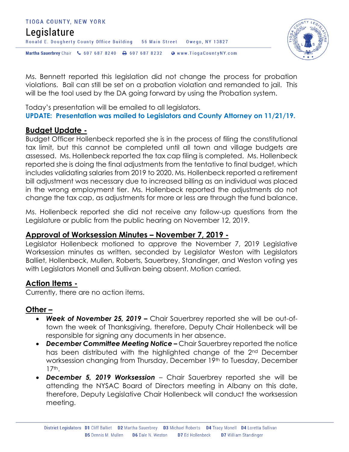#### TIOGA COUNTY, NEW YORK Legislature Ronald E. Dougherty County Office Building 56 Main Street Owego, NY 13827 Martha Sauerbrey Chair & 607 687 8240 <a>B</a>607 687 8232 <a>B</a>Www.TiogaCountyNY.com



Ms. Bennett reported this legislation did not change the process for probation violations. Bail can still be set on a probation violation and remanded to jail. This will be the tool used by the DA going forward by using the Probation system.

Today's presentation will be emailed to all legislators. **UPDATE: Presentation was mailed to Legislators and County Attorney on 11/21/19.** 

## **Budget Update -**

Budget Officer Hollenbeck reported she is in the process of filing the constitutional tax limit, but this cannot be completed until all town and village budgets are assessed. Ms. Hollenbeck reported the tax cap filing is completed. Ms. Hollenbeck reported she is doing the final adjustments from the tentative to final budget, which includes validating salaries from 2019 to 2020. Ms. Hollenbeck reported a retirement bill adjustment was necessary due to increased billing as an individual was placed in the wrong employment tier. Ms. Hollenbeck reported the adjustments do not change the tax cap, as adjustments for more or less are through the fund balance.

Ms. Hollenbeck reported she did not receive any follow-up questions from the Legislature or public from the public hearing on November 12, 2019.

## **Approval of Worksession Minutes – November 7, 2019 -**

Legislator Hollenbeck motioned to approve the November 7, 2019 Legislative Worksession minutes as written, seconded by Legislator Weston with Legislators Balliet, Hollenbeck, Mullen, Roberts, Sauerbrey, Standinger, and Weston voting yes with Legislators Monell and Sullivan being absent. Motion carried.

## **Action Items -**

Currently, there are no action items.

## **Other –**

- *Week of November 25, 2019 –* Chair Sauerbrey reported she will be out-oftown the week of Thanksgiving, therefore, Deputy Chair Hollenbeck will be responsible for signing any documents in her absence.
- *December Committee Meeting Notice –* Chair Sauerbrey reported the notice has been distributed with the highlighted change of the 2<sup>nd</sup> December worksession changing from Thursday, December 19th to Tuesday, December 17th.
- *December 5, 2019 Worksession* Chair Sauerbrey reported she will be attending the NYSAC Board of Directors meeting in Albany on this date, therefore, Deputy Legislative Chair Hollenbeck will conduct the worksession meeting.